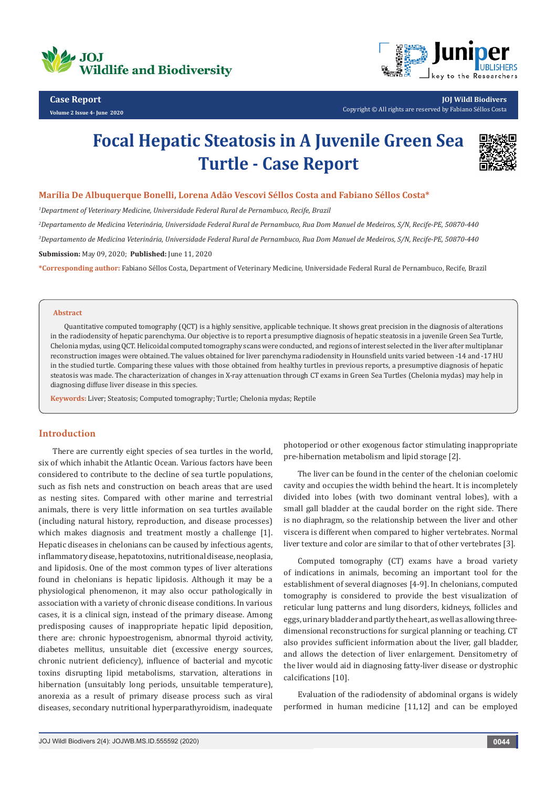



**JOJ Wildl Biodivers** Copyright © All rights are reserved by Fabiano Séllos Costa

# **Focal Hepatic Steatosis in A Juvenile Green Sea Turtle - Case Report**



## **Marília De Albuquerque Bonelli, Lorena Adão Vescovi Séllos Costa and Fabiano Séllos Costa\***

*1 Department of Veterinary Medicine, Universidade Federal Rural de Pernambuco, Recife, Brazil*

*2 Departamento de Medicina Veterinária, Universidade Federal Rural de Pernambuco, Rua Dom Manuel de Medeiros, S/N, Recife-PE, 50870-440*

*3 Departamento de Medicina Veterinária, Universidade Federal Rural de Pernambuco, Rua Dom Manuel de Medeiros, S/N, Recife-PE, 50870-440*

**Submission:** May 09, 2020; **Published:** June 11, 2020

**\*Corresponding author:** Fabiano Séllos Costa, Department of Veterinary Medicine, Universidade Federal Rural de Pernambuco, Recife, Brazil

### **Abstract**

Quantitative computed tomography (QCT) is a highly sensitive, applicable technique. It shows great precision in the diagnosis of alterations in the radiodensity of hepatic parenchyma. Our objective is to report a presumptive diagnosis of hepatic steatosis in a juvenile Green Sea Turtle, Chelonia mydas, using QCT. Helicoidal computed tomography scans were conducted, and regions of interest selected in the liver after multiplanar reconstruction images were obtained. The values obtained for liver parenchyma radiodensity in Hounsfield units varied between -14 and -17 HU in the studied turtle. Comparing these values with those obtained from healthy turtles in previous reports, a presumptive diagnosis of hepatic steatosis was made. The characterization of changes in X-ray attenuation through CT exams in Green Sea Turtles (Chelonia mydas) may help in diagnosing diffuse liver disease in this species.

**Keywords:** Liver; Steatosis; Computed tomography; Turtle; Chelonia mydas; Reptile

# **Introduction**

There are currently eight species of sea turtles in the world, six of which inhabit the Atlantic Ocean. Various factors have been considered to contribute to the decline of sea turtle populations, such as fish nets and construction on beach areas that are used as nesting sites. Compared with other marine and terrestrial animals, there is very little information on sea turtles available (including natural history, reproduction, and disease processes) which makes diagnosis and treatment mostly a challenge [1]. Hepatic diseases in chelonians can be caused by infectious agents, inflammatory disease, hepatotoxins, nutritional disease, neoplasia, and lipidosis. One of the most common types of liver alterations found in chelonians is hepatic lipidosis. Although it may be a physiological phenomenon, it may also occur pathologically in association with a variety of chronic disease conditions. In various cases, it is a clinical sign, instead of the primary disease. Among predisposing causes of inappropriate hepatic lipid deposition, there are: chronic hypoestrogenism, abnormal thyroid activity, diabetes mellitus, unsuitable diet (excessive energy sources, chronic nutrient deficiency), influence of bacterial and mycotic toxins disrupting lipid metabolisms, starvation, alterations in hibernation (unsuitably long periods, unsuitable temperature), anorexia as a result of primary disease process such as viral diseases, secondary nutritional hyperparathyroidism, inadequate

photoperiod or other exogenous factor stimulating inappropriate pre-hibernation metabolism and lipid storage [2].

The liver can be found in the center of the chelonian coelomic cavity and occupies the width behind the heart. It is incompletely divided into lobes (with two dominant ventral lobes), with a small gall bladder at the caudal border on the right side. There is no diaphragm, so the relationship between the liver and other viscera is different when compared to higher vertebrates. Normal liver texture and color are similar to that of other vertebrates [3].

Computed tomography (CT) exams have a broad variety of indications in animals, becoming an important tool for the establishment of several diagnoses [4-9]. In chelonians, computed tomography is considered to provide the best visualization of reticular lung patterns and lung disorders, kidneys, follicles and eggs, urinary bladder and partly the heart, as well as allowing threedimensional reconstructions for surgical planning or teaching. CT also provides sufficient information about the liver, gall bladder, and allows the detection of liver enlargement. Densitometry of the liver would aid in diagnosing fatty-liver disease or dystrophic calcifications [10].

Evaluation of the radiodensity of abdominal organs is widely performed in human medicine [11,12] and can be employed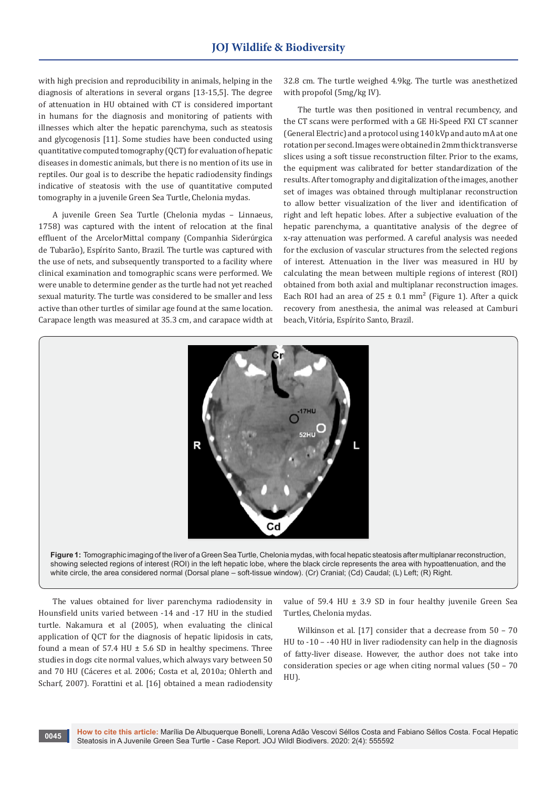with high precision and reproducibility in animals, helping in the diagnosis of alterations in several organs [13-15,5]. The degree of attenuation in HU obtained with CT is considered important in humans for the diagnosis and monitoring of patients with illnesses which alter the hepatic parenchyma, such as steatosis and glycogenosis [11]. Some studies have been conducted using quantitative computed tomography (QCT) for evaluation of hepatic diseases in domestic animals, but there is no mention of its use in reptiles. Our goal is to describe the hepatic radiodensity findings indicative of steatosis with the use of quantitative computed tomography in a juvenile Green Sea Turtle, Chelonia mydas.

A juvenile Green Sea Turtle (Chelonia mydas – Linnaeus, 1758) was captured with the intent of relocation at the final effluent of the ArcelorMittal company (Companhia Siderúrgica de Tubarão), Espírito Santo, Brazil. The turtle was captured with the use of nets, and subsequently transported to a facility where clinical examination and tomographic scans were performed. We were unable to determine gender as the turtle had not yet reached sexual maturity. The turtle was considered to be smaller and less active than other turtles of similar age found at the same location. Carapace length was measured at 35.3 cm, and carapace width at 32.8 cm. The turtle weighed 4.9kg. The turtle was anesthetized with propofol (5mg/kg IV).

The turtle was then positioned in ventral recumbency, and the CT scans were performed with a GE Hi-Speed FXI CT scanner (General Electric) and a protocol using 140 kVp and auto mA at one rotation per second. Images were obtained in 2mm thick transverse slices using a soft tissue reconstruction filter. Prior to the exams, the equipment was calibrated for better standardization of the results. After tomography and digitalization of the images, another set of images was obtained through multiplanar reconstruction to allow better visualization of the liver and identification of right and left hepatic lobes. After a subjective evaluation of the hepatic parenchyma, a quantitative analysis of the degree of x-ray attenuation was performed. A careful analysis was needed for the exclusion of vascular structures from the selected regions of interest. Attenuation in the liver was measured in HU by calculating the mean between multiple regions of interest (ROI) obtained from both axial and multiplanar reconstruction images. Each ROI had an area of  $25 \pm 0.1$  mm<sup>2</sup> (Figure 1). After a quick recovery from anesthesia, the animal was released at Camburi beach, Vitória, Espírito Santo, Brazil.





The values obtained for liver parenchyma radiodensity in Hounsfield units varied between -14 and -17 HU in the studied turtle. Nakamura et al (2005), when evaluating the clinical application of QCT for the diagnosis of hepatic lipidosis in cats, found a mean of 57.4 HU  $\pm$  5.6 SD in healthy specimens. Three studies in dogs cite normal values, which always vary between 50 and 70 HU (Cáceres et al. 2006; Costa et al, 2010a; Ohlerth and Scharf, 2007). Forattini et al. [16] obtained a mean radiodensity

value of 59.4 HU  $\pm$  3.9 SD in four healthy juvenile Green Sea Turtles, Chelonia mydas.

Wilkinson et al. [17] consider that a decrease from 50 – 70 HU to -10 – -40 HU in liver radiodensity can help in the diagnosis of fatty-liver disease. However, the author does not take into consideration species or age when citing normal values (50 – 70 HU).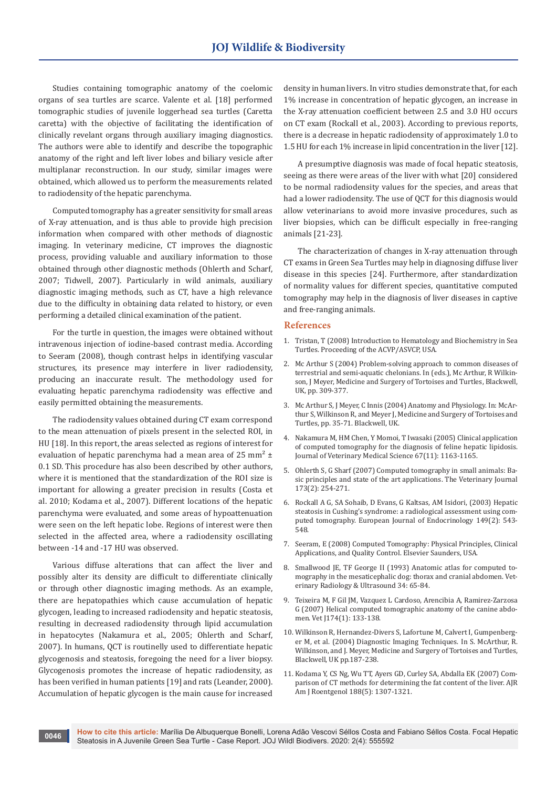Studies containing tomographic anatomy of the coelomic organs of sea turtles are scarce. Valente et al. [18] performed tomographic studies of juvenile loggerhead sea turtles (Caretta caretta) with the objective of facilitating the identification of clinically revelant organs through auxiliary imaging diagnostics. The authors were able to identify and describe the topographic anatomy of the right and left liver lobes and biliary vesicle after multiplanar reconstruction. In our study, similar images were obtained, which allowed us to perform the measurements related to radiodensity of the hepatic parenchyma.

Computed tomography has a greater sensitivity for small areas of X-ray attenuation, and is thus able to provide high precision information when compared with other methods of diagnostic imaging. In veterinary medicine, CT improves the diagnostic process, providing valuable and auxiliary information to those obtained through other diagnostic methods (Ohlerth and Scharf, 2007; Tidwell, 2007). Particularly in wild animals, auxiliary diagnostic imaging methods, such as CT, have a high relevance due to the difficulty in obtaining data related to history, or even performing a detailed clinical examination of the patient.

For the turtle in question, the images were obtained without intravenous injection of iodine-based contrast media. According to Seeram (2008), though contrast helps in identifying vascular structures, its presence may interfere in liver radiodensity, producing an inaccurate result. The methodology used for evaluating hepatic parenchyma radiodensity was effective and easily permitted obtaining the measurements.

The radiodensity values obtained during CT exam correspond to the mean attenuation of pixels present in the selected ROI, in HU [18]. In this report, the areas selected as regions of interest for evaluation of hepatic parenchyma had a mean area of 25 mm<sup>2</sup>  $\pm$ 0.1 SD. This procedure has also been described by other authors, where it is mentioned that the standardization of the ROI size is important for allowing a greater precision in results (Costa et al. 2010; Kodama et al., 2007). Different locations of the hepatic parenchyma were evaluated, and some areas of hypoattenuation were seen on the left hepatic lobe. Regions of interest were then selected in the affected area, where a radiodensity oscillating between -14 and -17 HU was observed.

Various diffuse alterations that can affect the liver and possibly alter its density are difficult to differentiate clinically or through other diagnostic imaging methods. As an example, there are hepatopathies which cause accumulation of hepatic glycogen, leading to increased radiodensity and hepatic steatosis, resulting in decreased radiodensity through lipid accumulation in hepatocytes (Nakamura et al., 2005; Ohlerth and Scharf, 2007). In humans, QCT is routinelly used to differentiate hepatic glycogenosis and steatosis, foregoing the need for a liver biopsy. Glycogenosis promotes the increase of hepatic radiodensity, as has been verified in human patients [19] and rats (Leander, 2000). Accumulation of hepatic glycogen is the main cause for increased

density in human livers. In vitro studies demonstrate that, for each 1% increase in concentration of hepatic glycogen, an increase in the X-ray attenuation coefficient between 2.5 and 3.0 HU occurs on CT exam (Rockall et al., 2003). According to previous reports, there is a decrease in hepatic radiodensity of approximately 1.0 to 1.5 HU for each 1% increase in lipid concentration in the liver [12].

A presumptive diagnosis was made of focal hepatic steatosis, seeing as there were areas of the liver with what [20] considered to be normal radiodensity values for the species, and areas that had a lower radiodensity. The use of QCT for this diagnosis would allow veterinarians to avoid more invasive procedures, such as liver biopsies, which can be difficult especially in free-ranging animals [21-23].

The characterization of changes in X-ray attenuation through CT exams in Green Sea Turtles may help in diagnosing diffuse liver disease in this species [24]. Furthermore, after standardization of normality values for different species, quantitative computed tomography may help in the diagnosis of liver diseases in captive and free-ranging animals.

### **References**

- 1. Tristan, T (2008) Introduction to Hematology and Biochemistry in Sea Turtles. Proceeding of the ACVP/ASVCP, USA.
- 2. Mc Arthur S (2004) Problem-solving approach to common diseases of terrestrial and semi-aquatic chelonians. In (eds.), Mc Arthur, R Wilkinson, J Meyer, Medicine and Surgery of Tortoises and Turtles, Blackwell, UK, pp. 309-377.
- 3. Mc Arthur S, J Meyer, C Innis (2004) Anatomy and Physiology. In: McArthur S, Wilkinson R, and Meyer J, Medicine and Surgery of Tortoises and Turtles, pp. 35-71. Blackwell, UK.
- 4. [Nakamura M, HM Chen, Y Momoi, T Iwasaki \(2005\) Clinical application](https://www.jstage.jst.go.jp/article/jvms/67/11/67_11_1163/_article/-char/en)  [of computed tomography for the diagnosis of feline hepatic lipidosis.](https://www.jstage.jst.go.jp/article/jvms/67/11/67_11_1163/_article/-char/en)  [Journal of Veterinary Medical Science 67\(11\): 1163-1165.](https://www.jstage.jst.go.jp/article/jvms/67/11/67_11_1163/_article/-char/en)
- 5. Ohlerth S, G Sharf (2007) Computed tomography in small animals: Basic principles and state of the art applications. The Veterinary Journal 173(2): 254-271.
- 6. Rockall A G, SA Sohaib, D Evans, G Kaltsas, AM Isidori, (2003) Hepatic steatosis in Cushing's syndrome: a radiological assessment using computed tomography. European Journal of Endocrinology 149(2): 543- 548.
- 7. Seeram, E (2008) Computed Tomography: Physical Principles, Clinical Applications, and Quality Control. Elsevier Saunders, USA.
- 8. [Smallwood JE, TF George II \(1993\) Anatomic atlas for computed to](https://onlinelibrary.wiley.com/doi/abs/10.1111/j.1740-8261.1993.tb01997.x)[mography in the mesaticephalic dog: thorax and cranial abdomen. Vet](https://onlinelibrary.wiley.com/doi/abs/10.1111/j.1740-8261.1993.tb01997.x)[erinary Radiology & Ultrasound 34: 65-84.](https://onlinelibrary.wiley.com/doi/abs/10.1111/j.1740-8261.1993.tb01997.x)
- 9. [Teixeira M, F Gil JM, Vazquez L Cardoso, Arencibia A, Ramirez-Zarzosa](https://pubmed.ncbi.nlm.nih.gov/16766214/)  [G \(2007\) Helical computed tomographic anatomy of the canine abdo](https://pubmed.ncbi.nlm.nih.gov/16766214/)[men. Vet J174\(1\): 133-138.](https://pubmed.ncbi.nlm.nih.gov/16766214/)
- 10. [Wilkinson R, Hernandez-Divers S, Lafortune M, Calvert I, Gumpenberg](https://onlinelibrary.wiley.com/doi/pdf/10.1002/9780470698877.fmatter)[er M, et al. \(2004\) Diagnostic Imaging Techniques. In S. McArthur, R.](https://onlinelibrary.wiley.com/doi/pdf/10.1002/9780470698877.fmatter)  [Wilkinson, and J. Meyer, Medicine and Surgery of Tortoises and Turtles,](https://onlinelibrary.wiley.com/doi/pdf/10.1002/9780470698877.fmatter)  [Blackwell, UK pp.187-238.](https://onlinelibrary.wiley.com/doi/pdf/10.1002/9780470698877.fmatter)
- 11. [Kodama Y, CS Ng, Wu TT, Ayers GD, Curley SA, Abdalla EK \(2007\) Com](https://pubmed.ncbi.nlm.nih.gov/17449775/)[parison of CT methods for determining the fat content of the liver. AJR](https://pubmed.ncbi.nlm.nih.gov/17449775/)  [Am J Roentgenol 188\(5\): 1307-1321.](https://pubmed.ncbi.nlm.nih.gov/17449775/)